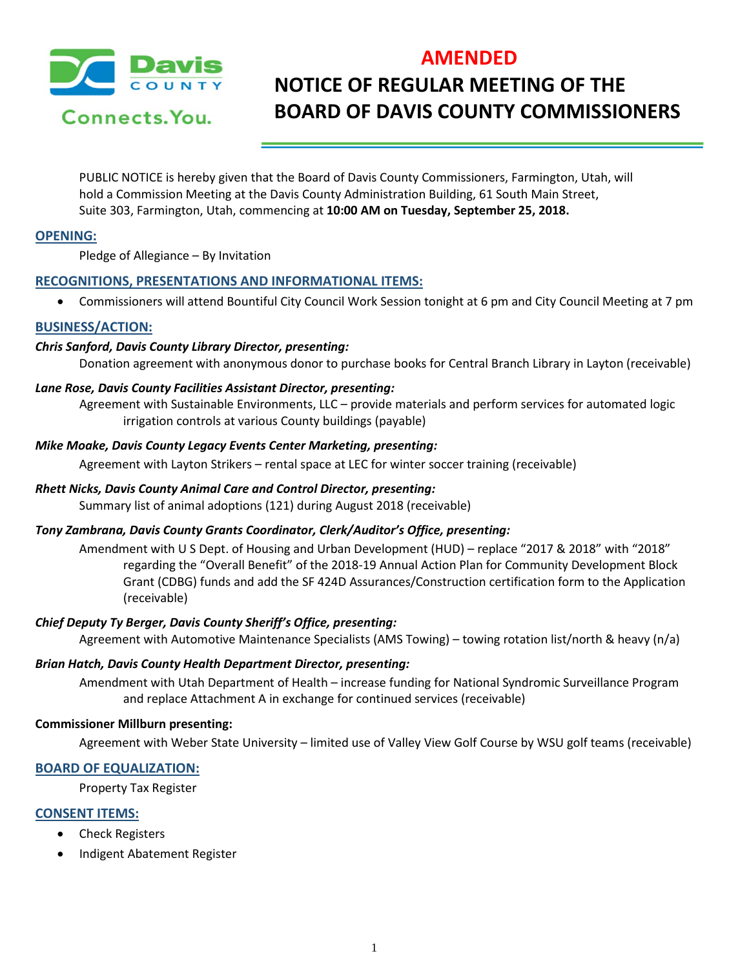

# **AMENDED NOTICE OF REGULAR MEETING OF THE BOARD OF DAVIS COUNTY COMMISSIONERS**

PUBLIC NOTICE is hereby given that the Board of Davis County Commissioners, Farmington, Utah, will hold a Commission Meeting at the Davis County Administration Building, 61 South Main Street, Suite 303, Farmington, Utah, commencing at **10:00 AM on Tuesday, September 25, 2018.**

# **OPENING:**

Pledge of Allegiance – By Invitation

# **RECOGNITIONS, PRESENTATIONS AND INFORMATIONAL ITEMS:**

• Commissioners will attend Bountiful City Council Work Session tonight at 6 pm and City Council Meeting at 7 pm

# **BUSINESS/ACTION:**

## *Chris Sanford, Davis County Library Director, presenting:*

Donation agreement with anonymous donor to purchase books for Central Branch Library in Layton (receivable)

### *Lane Rose, Davis County Facilities Assistant Director, presenting:*

Agreement with Sustainable Environments, LLC – provide materials and perform services for automated logic irrigation controls at various County buildings (payable)

# *Mike Moake, Davis County Legacy Events Center Marketing, presenting:*

Agreement with Layton Strikers – rental space at LEC for winter soccer training (receivable)

# *Rhett Nicks, Davis County Animal Care and Control Director, presenting:*

Summary list of animal adoptions (121) during August 2018 (receivable)

# *Tony Zambrana, Davis County Grants Coordinator, Clerk/Auditor's Office, presenting:*

Amendment with U S Dept. of Housing and Urban Development (HUD) – replace "2017 & 2018" with "2018" regarding the "Overall Benefit" of the 2018-19 Annual Action Plan for Community Development Block Grant (CDBG) funds and add the SF 424D Assurances/Construction certification form to the Application (receivable)

# *Chief Deputy Ty Berger, Davis County Sheriff's Office, presenting:*

Agreement with Automotive Maintenance Specialists (AMS Towing) – towing rotation list/north & heavy (n/a)

### *Brian Hatch, Davis County Health Department Director, presenting:*

Amendment with Utah Department of Health – increase funding for National Syndromic Surveillance Program and replace Attachment A in exchange for continued services (receivable)

### **Commissioner Millburn presenting:**

Agreement with Weber State University – limited use of Valley View Golf Course by WSU golf teams (receivable)

# **BOARD OF EQUALIZATION:**

Property Tax Register

# **CONSENT ITEMS:**

- Check Registers
- Indigent Abatement Register